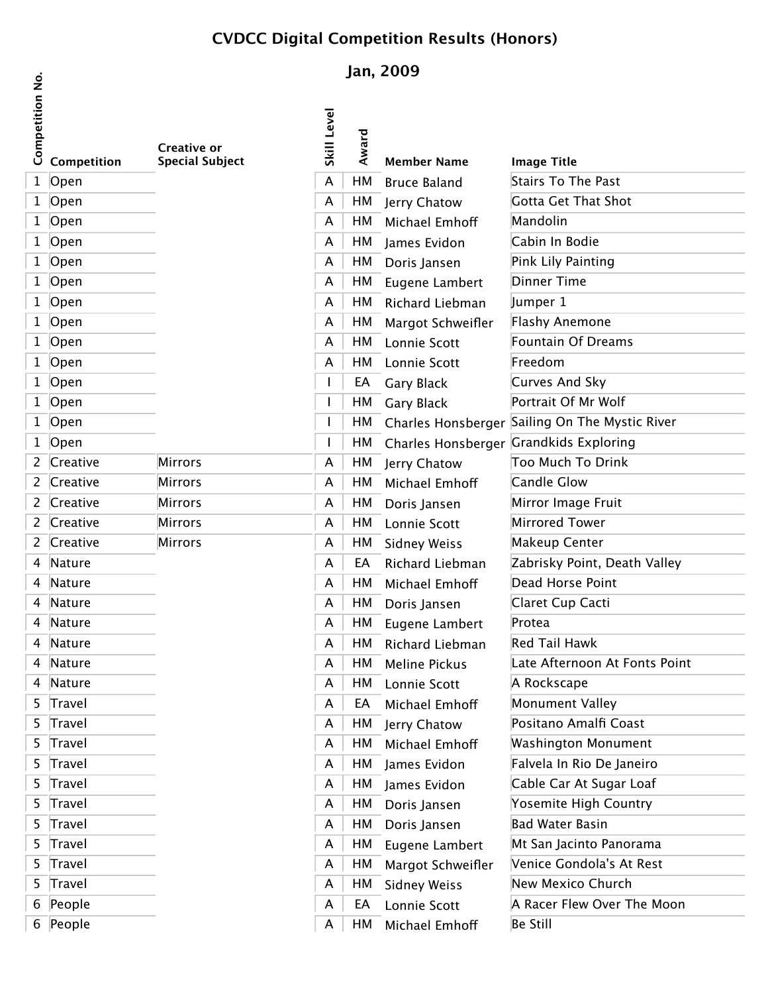## **CVDCC Digital Competition Results (Honors)**

## **Jan, 2009**

 $\dot{\mathsf{z}}$ 

|                 |             |                                              |             | Juli, LUVJ |                      |                                    |  |
|-----------------|-------------|----------------------------------------------|-------------|------------|----------------------|------------------------------------|--|
| Competition No. | Competition | <b>Creative or</b><br><b>Special Subject</b> | Skill Level | Award      | <b>Member Name</b>   | <b>Image Title</b>                 |  |
|                 | 1 Open      |                                              | A           | HM         | <b>Bruce Baland</b>  | To The<br>محف                      |  |
|                 | 1 Open      |                                              | A           | HM         | Jerry Chatow         | $C_{\Delta t}$ That $C_{\Delta t}$ |  |
|                 | 1 Open      |                                              | A           | HM         | Michael Emhoff       | ينلمامم                            |  |
|                 | 1 Open      |                                              | A           | HM         | James Evidon         | نام م م م ا                        |  |
|                 | 1 Open      |                                              | A           | HM         | Doris Jansen         | منصنده عيلنا                       |  |
|                 | 1 Open      |                                              | A           | HM         | Eugene Lambert       | $\mathbf{T}$ : .                   |  |
|                 | 1 Open      |                                              | A           | HM         | Richard Liebman      |                                    |  |
|                 | 1 Open      |                                              | A           | HM         | Margot Schweifler    |                                    |  |
|                 | 1 Open      |                                              | A           | HM         | Lonnie Scott         | يممعك ككب منمغير                   |  |
|                 | 1 Open      |                                              | A           | HM         | Lonnie Scott         |                                    |  |
|                 | 1 Open      |                                              |             | EA         | Gary Black           | Loc And Clu                        |  |
|                 | 1 Open      |                                              |             | HM         | <b>Gary Black</b>    | $\frac{1}{2}$ Of Me Walf           |  |
|                 | 1 Open      |                                              |             | HM         | Charles Honsberger   | مطلب می                            |  |
|                 | 1 Open      |                                              | ı           | HM         | Charles Honsberger   |                                    |  |
|                 | 2 Creative  | <b>Mirrors</b>                               | A           | HM         | Jerry Chatow         | للمنعاك مالك ماعيناته              |  |
| $\mathbf{2}$    | Creative    | Mirrors                                      | A           | HM         | Michael Emhoff       | ملت ملله                           |  |
|                 | 2 Creative  | Mirrors                                      | A           | HM         | Doris Jansen         | mago Fruit                         |  |
|                 | 2 Creative  | <b>Mirrors</b>                               | A           | HM         | Lonnie Scott         |                                    |  |
|                 | 2 Creative  | Mirrors                                      | A           | HM         | <b>Sidney Weiss</b>  |                                    |  |
|                 | 4 Nature    |                                              | A           | EA         | Richard Liebman      | Doint Doath Valle                  |  |
|                 | 4 Nature    |                                              | A           | HM         | Michael Emhoff       |                                    |  |
|                 | 4 Nature    |                                              | A           | HM         | Doris Jansen         | r <i>.</i><br>$\sim$               |  |
|                 | 4 Nature    |                                              | A           | HМ         | Eugene Lambert       | ممغمعD                             |  |
|                 | 4 Nature    |                                              | A           | HМ         | Richard Liebman      | المسمليا النمتي المهر<br>المسموع   |  |
|                 | 4 Nature    |                                              | A           | HM         | <b>Meline Pickus</b> | Afternoon At Fonte Doint           |  |
|                 | 4 Nature    |                                              | A           | HМ         | Lonnie Scott         | <b>Dockscops</b>                   |  |
|                 | 5 Travel    |                                              | A           | EA         | Michael Emhoff       | بمللح اخصموسومه                    |  |
|                 | 5 Travel    |                                              | A           | HМ         | Jerry Chatow         | Amalfi Cassi                       |  |
|                 | 5 Travel    |                                              | A           | HM         | Michael Emhoff       | يممصيبومه الممعومنطعصا             |  |
|                 | 5 Travel    |                                              | A           | HМ         | James Evidon         | عينممدليمك ونقلعه والململح         |  |
|                 | 5 Travel    |                                              | A           | HM         | James Evidon         | $h \sim C_1 \sim h + C_1$          |  |
|                 | 5 Travel    |                                              | A           | HM         | Doris Jansen         | comita High Country                |  |
|                 | 5 Travel    |                                              | A           | HМ         | Doris Jansen         | منعد هدمعد اللهد                   |  |
|                 | 5 Travel    |                                              | A           | HМ         | Eugene Lambert       |                                    |  |
|                 | 5 Travel    |                                              | A           | HM         | Margot Schweifler    | Lanica Candalate At Dact           |  |
|                 | 5 Travel    |                                              | A           | HМ         | <b>Sidney Weiss</b>  | المسلمات وعنتجم المسمل             |  |
|                 | 6 People    |                                              | A           | EA         | Lonnie Scott         | <u>Dacar Flaw Over The Moo</u>     |  |
|                 | 6 People    |                                              | A           | HМ         | Michael Emhoff       | انرو دينال                         |  |